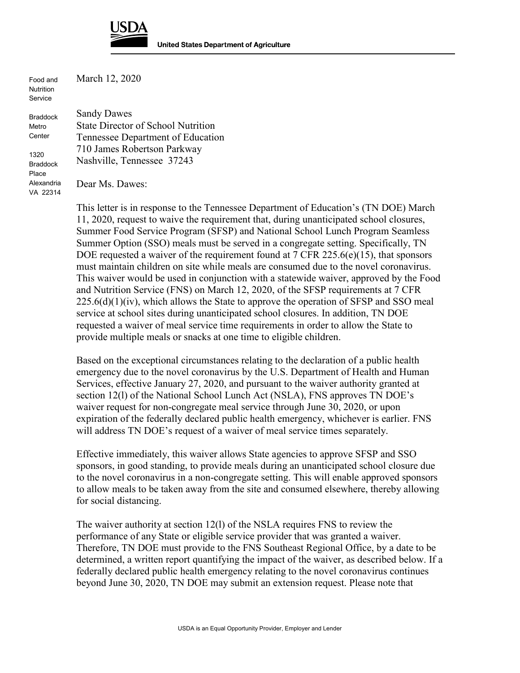

Food and **Nutrition** Service

Alexandria VA 22314 March 12, 2020

Braddock Metro Center 1320 Braddock Place Sandy Dawes State Director of School Nutrition Tennessee Department of Education 710 James Robertson Parkway Nashville, Tennessee 37243

Dear Ms. Dawes:

This letter is in response to the Tennessee Department of Education's (TN DOE) March 11, 2020, request to waive the requirement that, during unanticipated school closures, Summer Food Service Program (SFSP) and National School Lunch Program Seamless Summer Option (SSO) meals must be served in a congregate setting. Specifically, TN DOE requested a waiver of the requirement found at 7 CFR 225.6(e)(15), that sponsors must maintain children on site while meals are consumed due to the novel coronavirus. This waiver would be used in conjunction with a statewide waiver, approved by the Food and Nutrition Service (FNS) on March 12, 2020, of the SFSP requirements at 7 CFR  $225.6(d)(1)(iv)$ , which allows the State to approve the operation of SFSP and SSO meal service at school sites during unanticipated school closures. In addition, TN DOE requested a waiver of meal service time requirements in order to allow the State to provide multiple meals or snacks at one time to eligible children.

Based on the exceptional circumstances relating to the declaration of a public health emergency due to the novel coronavirus by the U.S. Department of Health and Human Services, effective January 27, 2020, and pursuant to the waiver authority granted at section 12(l) of the National School Lunch Act (NSLA), FNS approves TN DOE's waiver request for non-congregate meal service through June 30, 2020, or upon expiration of the federally declared public health emergency, whichever is earlier. FNS will address TN DOE's request of a waiver of meal service times separately.

Effective immediately, this waiver allows State agencies to approve SFSP and SSO sponsors, in good standing, to provide meals during an unanticipated school closure due to the novel coronavirus in a non-congregate setting. This will enable approved sponsors to allow meals to be taken away from the site and consumed elsewhere, thereby allowing for social distancing.

The waiver authority at section 12(l) of the NSLA requires FNS to review the performance of any State or eligible service provider that was granted a waiver. Therefore, TN DOE must provide to the FNS Southeast Regional Office, by a date to be determined, a written report quantifying the impact of the waiver, as described below. If a federally declared public health emergency relating to the novel coronavirus continues beyond June 30, 2020, TN DOE may submit an extension request. Please note that